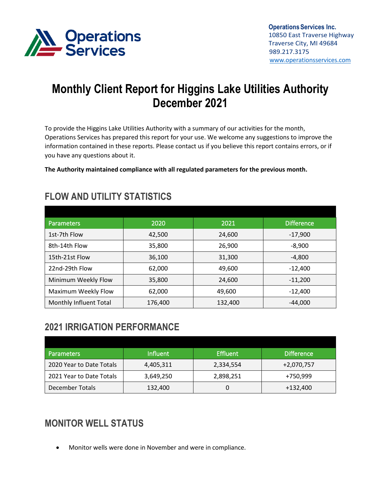

# **Monthly Client Report for Higgins Lake Utilities Authority December 2021**

To provide the Higgins Lake Utilities Authority with a summary of our activities for the month, Operations Services has prepared this report for your use. We welcome any suggestions to improve the information contained in these reports. Please contact us if you believe this report contains errors, or if you have any questions about it.

**The Authority maintained compliance with all regulated parameters for the previous month.**

| <b>Parameters</b>      | 2020    | 2021    | <b>Difference</b> |
|------------------------|---------|---------|-------------------|
| 1st-7th Flow           | 42,500  | 24,600  | $-17,900$         |
| 8th-14th Flow          | 35,800  | 26,900  | $-8,900$          |
| 15th-21st Flow         | 36,100  | 31,300  | $-4,800$          |
| 22nd-29th Flow         | 62,000  | 49,600  | $-12,400$         |
| Minimum Weekly Flow    | 35,800  | 24,600  | $-11,200$         |
| Maximum Weekly Flow    | 62,000  | 49,600  | $-12,400$         |
| Monthly Influent Total | 176,400 | 132,400 | $-44,000$         |

#### **FLOW AND UTILITY STATISTICS**

#### **2021 IRRIGATION PERFORMANCE**

| <b>Parameters</b>        | <b>Influent</b> | <b>Effluent</b> | <b>Difference</b> |
|--------------------------|-----------------|-----------------|-------------------|
| 2020 Year to Date Totals | 4,405,311       | 2,334,554       | $+2,070,757$      |
| 2021 Year to Date Totals | 3,649,250       | 2,898,251       | +750,999          |
| December Totals          | 132,400         |                 | +132,400          |

# **MONITOR WELL STATUS**

• Monitor wells were done in November and were in compliance.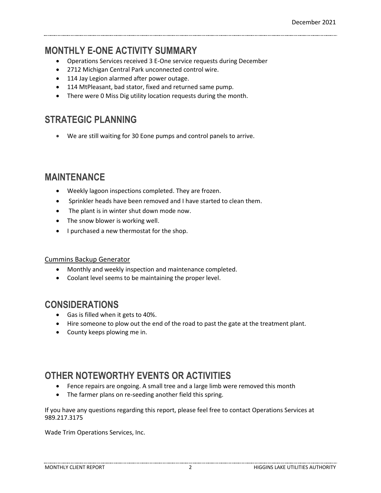#### **MONTHLY E-ONE ACTIVITY SUMMARY**

- Operations Services received 3 E-One service requests during December
- 2712 Michigan Central Park unconnected control wire.
- 114 Jay Legion alarmed after power outage.
- 114 MtPleasant, bad stator, fixed and returned same pump.
- There were 0 Miss Dig utility location requests during the month.

### **STRATEGIC PLANNING**

• We are still waiting for 30 Eone pumps and control panels to arrive.

#### **MAINTENANCE**

- Weekly lagoon inspections completed. They are frozen.
- Sprinkler heads have been removed and I have started to clean them.
- The plant is in winter shut down mode now.
- The snow blower is working well.
- I purchased a new thermostat for the shop.

#### Cummins Backup Generator

- Monthly and weekly inspection and maintenance completed.
- Coolant level seems to be maintaining the proper level.

#### **CONSIDERATIONS**

- Gas is filled when it gets to 40%.
- Hire someone to plow out the end of the road to past the gate at the treatment plant.
- County keeps plowing me in.

## **OTHER NOTEWORTHY EVENTS OR ACTIVITIES**

- Fence repairs are ongoing. A small tree and a large limb were removed this month
- The farmer plans on re-seeding another field this spring.

If you have any questions regarding this report, please feel free to contact Operations Services at 989.217.3175

Wade Trim Operations Services, Inc.